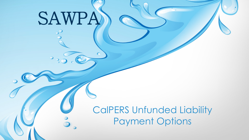# SAWPA

 $\circ$ 

CalPERS Unfunded Liability Payment Options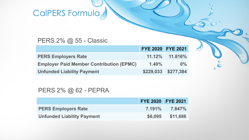# CalPERS Formula

### PERS 2% @ 55 - Classic

|                                                 | <b>FYE 2020 FYE 2021</b> |                      |
|-------------------------------------------------|--------------------------|----------------------|
| <b>PERS Employers Rate</b>                      |                          | $11.12\%$ $11.816\%$ |
| <b>Employer Paid Member Contribution (EPMC)</b> | $1.40\%$                 | $0\%$                |
| <b>Unfunded Liability Payment</b>               |                          | \$229,033 \$277,384  |

 $\mathbf{e}^{\epsilon}$ 

### PERS 2% @ 62 - PEPRA

|                                   | <b>FYE 2020 FYE 2021</b> |                     |
|-----------------------------------|--------------------------|---------------------|
| <b>PERS Employers Rate</b>        |                          | $7.191\%$ $7.847\%$ |
| <b>Unfunded Liability Payment</b> | \$6,095                  | \$11,686            |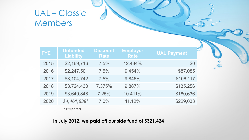### UAL – Classic Members

| <b>FYE</b> | <b>Unfunded</b><br><b>Liability</b> | <b>Discount</b><br><b>Rate</b> | <b>Employer</b><br><b>Rate</b> | <b>UAL Payment</b> |
|------------|-------------------------------------|--------------------------------|--------------------------------|--------------------|
| 2015       | \$2,169,716                         | 7.5%                           | 12.434%                        | \$0                |
| 2016       | \$2,247,501                         | 7.5%                           | 9.454%                         | \$87,085           |
| 2017       | \$3,104,742                         | 7.5%                           | 9.846%                         | \$106,117          |
| 2018       | \$3,724,430                         | 7.375%                         | 9.887%                         | \$135,256          |
| 2019       | \$3,649,848                         | 7.25%                          | 10.411%                        | \$180,636          |
| 2020       | $$4,461,839*$                       | 7.0%                           | 11.12%                         | \$229,033          |

 $\mathsf{C}^{\mathsf{c}}$ 

\* Projected

**In July 2012, we paid off our side fund of \$321,424**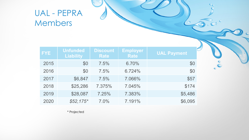### UAL - PEPRA Members

| <b>FYE</b> | <b>Unfunded</b><br><b>Liability</b> | <b>Discount</b><br><b>Rate</b> | <b>Employer</b><br><b>Rate</b> | <b>UAL Payment</b> |
|------------|-------------------------------------|--------------------------------|--------------------------------|--------------------|
| 2015       | \$0                                 | 7.5%                           | 6.70%                          | \$0                |
| 2016       | \$0                                 | 7.5%                           | 6.724%                         | \$0                |
| 2017       | \$6,847                             | 7.5%                           | 7.066%                         | \$57               |
| 2018       | \$25,286                            | 7.375%                         | 7.045%                         | \$174              |
| 2019       | \$28,087                            | 7.25%                          | 7.383%                         | \$5,486            |
| 2020       | $$52,175$ *                         | 7.0%                           | 7.191%                         | \$6,095            |

 $\sum_{i=1}^{\infty} c_i$ 

 $\circ$ 

\* Projected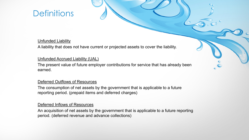### **Definitions**

#### **Unfunded Liability**

A liability that does not have current or projected assets to cover the liability.

#### Unfunded Accrued Liability (UAL)

The present value of future employer contributions for service that has already been earned.

#### Deferred Outflows of Resources

The consumption of net assets by the government that is applicable to a future reporting period. (prepaid items and deferred charges)

#### Deferred Inflows of Resources

An acquisition of net assets by the government that is applicable to a future reporting period. (deferred revenue and advance collections)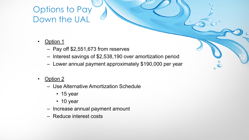### Options to Pay Down the UAL

- Option 1
	- Pay off \$2,551,673 from reserves
	- Interest savings of \$2,538,190 over amortization period
	- Lower annual payment approximately \$190,000 per year
- Option 2
	- Use Alternative Amortization Schedule
		- 15 year
		- 10 year
	- Increase annual payment amount
	- Reduce interest costs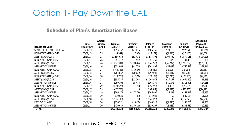### Option 1- Pay Down the UAL

#### Schedule of Plan's Amortization Bases

|                            |                    | Amorti-       |                |                |                |                |                 | <b>Scheduled</b> |
|----------------------------|--------------------|---------------|----------------|----------------|----------------|----------------|-----------------|------------------|
|                            | <b>Date</b>        | zation        | <b>Balance</b> | <b>Payment</b> | <b>Balance</b> | <b>Payment</b> | <b>Balance</b>  | <b>Payment</b>   |
| <b>Reason for Base</b>     | <b>Established</b> | <b>Period</b> | 6/30/18        | 2018-19        | 6/30/19        | 2019-20        | 6/30/20         | for 2020-21      |
| SHARE OF PRE-2013 POOL UAL | 06/30/13           | 17            | \$995,357      | \$77,016       | \$985,366      | \$79,110       | \$972,510       | \$80,246         |
| NON-ASSET (GAIN)/LOSS      | 06/30/13           | 25            | \$(14,944)     | \$(792)        | \$(15, 171)    | \$(1,018)      | \$(15,180)      | \$(1,030)        |
| ASSET (GAIN)/LOSS          | 06/30/13           | 25            | \$1,554,636    | \$82,432       | \$1,578,192    | \$105,860      | \$1,579,163     | \$107,126        |
| NON-ASSET (GAIN)/LOSS      | 06/30/14           | 26            | \$1,312        | \$52           | \$1,350        | \$72           | \$1,370         | \$91             |
| ASSET (GAIN)/LOSS          | 06/30/14           | 26            | \$(1,231,331)  | \$(49,085)     | \$(1,266,750)  | \$(67,242)     | \$(1, 285, 867) | \$(85,030)       |
| <b>ASSUMPTION CHANGE</b>   | 06/30/14           | 16            | \$752,049      | \$41,374       | \$761,895      | \$56,665       | \$756,613       | \$71,946         |
| NON-ASSET (GAIN)/LOSS      | 06/30/15           | 27            | \$(60,302)     | \$(1,627)      | \$(62,840)     | \$(2,508)      | \$(64,645)      | $$$ (3,381)      |
| ASSET (GAIN)/LOSS          | 06/30/15           | 27            | \$764,857      | \$20,639       | \$797,048      | \$31,809       | \$819,938       | \$42,886         |
| NON-ASSET (GAIN)/LOSS      | 06/30/16           | 28            | \$(113,778)    | \$(1,579)      | \$(120, 109)   | \$(3,245)      | \$(125,160)     | \$(4,919)        |
| ASSET (GAIN)/LOSS          | 06/30/16           | 28            | \$955,787      | \$13,263       | \$1,008,973    | \$27,257       | \$1,051,406     | \$41,319         |
| <b>ASSUMPTION CHANGE</b>   | 06/30/16           | 18            | \$290,704      | \$5,486        | \$305,379      | \$11,272       | \$315,096       | \$17,155         |
| NON-ASSET (GAIN)/LOSS      | 06/30/17           | 29            | \$(23, 572)    | \$0            | \$(25,222)     | $$$ (350)      | \$(26,625)      | \$(708)          |
| ASSET (GAIN)/LOSS          | 06/30/17           | 29            | \$(472,726)    | \$0            | \$ (505, 817)  | \$(7,027)      | $$$ (533,955)   | \$(14,193)       |
| <b>ASSUMPTION CHANGE</b>   | 06/30/17           | 19            | \$306,173      | \$(17,773)     | \$345,990      | \$6,535        | \$363,449       | \$13,253         |
| NON-ASSET (GAIN)/LOSS      | 06/30/18           | 30            | \$70,036       | \$0            | \$74,938       | \$0            | \$80,184        | \$1,095          |
| ASSET (GAIN)/LOSS          | 06/30/18           | 30            | \$(146,190)    | \$0            | \$(156, 423)   | \$0            | \$(167,373)     | \$(2,286)        |
| METHOD CHANGE              | 06/30/18           | 20            | \$136,321      | \$(1,020)      | \$146,918      | \$(1,048)      | \$158,286       | \$2,951          |
| <b>ASSUMPTION CHANGE</b>   | 06/30/18           | 20            | \$479,689      | \$(15,410)     | \$529,207      | \$(15,833)     | \$582,630       | \$10,863         |
| <b>TOTAL</b>               |                    |               | \$4,244,078    | \$152,976      | \$4,382,924    | \$220,309      | \$4,461,840     | \$277,384        |
|                            |                    |               |                |                |                |                |                 |                  |

#### Discount rate used by CalPERS= 7%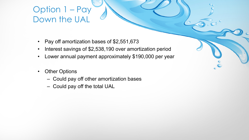### Option 1 – Pay Down the UAL

- Pay off amortization bases of \$2,551,673
- Interest savings of \$2,538,190 over amortization period
- Lower annual payment approximately \$190,000 per year
- Other Options
	- Could pay off other amortization bases
	- Could pay off the total UAL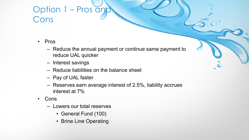### Option 1 – Pros and Cons

- Pros
	- Reduce the annual payment or continue same payment to reduce UAL quicker
	- Interest savings
	- Reduce liabilities on the balance sheet
	- Pay of UAL faster
	- Reserves earn average interest of 2.5%, liability accrues interest at 7%
- Cons
	- Lowers our total reserves
		- General Fund (100)
		- Brine Line Operating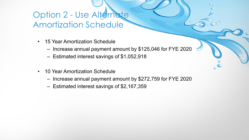### Option 2 - Use Alternate Amortization Schedule

- 15 Year Amortization Schedule
	- Increase annual payment amount by \$125,046 for FYE 2020
	- Estimated interest savings of \$1,052,918
- 10 Year Amortization Schedule
	- Increase annual payment amount by \$272,759 for FYE 2020
	- Estimated interest savings of \$2,167,359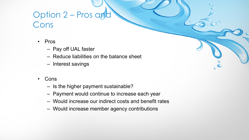## Option 2 – Pros and Cons

- Pros
	- Pay off UAL faster
	- Reduce liabilities on the balance sheet
	- Interest savings
- Cons
	- Is the higher payment sustainable?
	- Payment would continue to increase each year
	- Would increase our indirect costs and benefit rates
	- Would increase member agency contributions